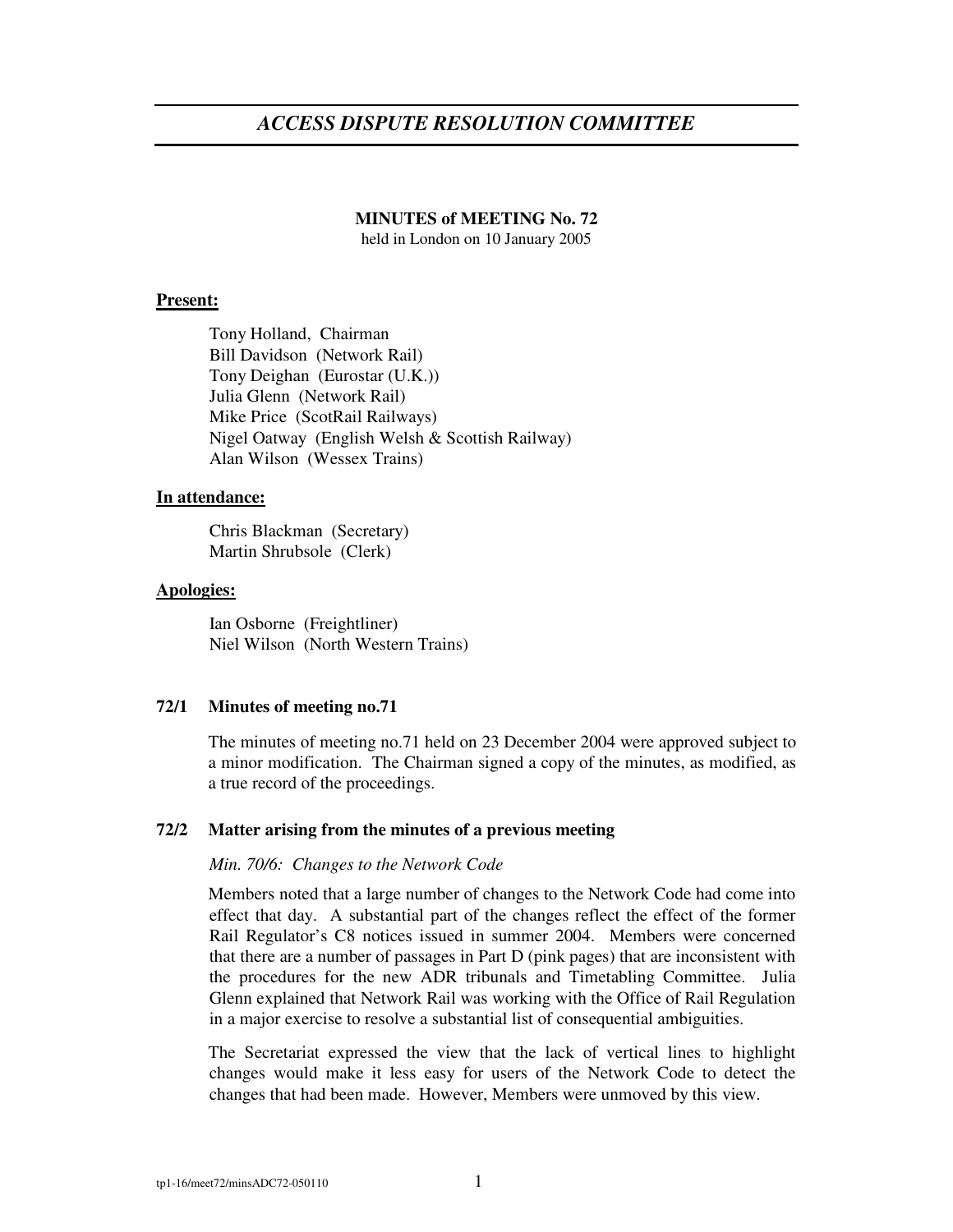# *ACCESS DISPUTE RESOLUTION COMMITTEE*

# **MINUTES of MEETING No. 72**

held in London on 10 January 2005

## **Present:**

Tony Holland, Chairman Bill Davidson (Network Rail) Tony Deighan (Eurostar (U.K.)) Julia Glenn (Network Rail) Mike Price (ScotRail Railways) Nigel Oatway (English Welsh & Scottish Railway) Alan Wilson (Wessex Trains)

## **In attendance:**

Chris Blackman (Secretary) Martin Shrubsole (Clerk)

#### **Apologies:**

Ian Osborne (Freightliner) Niel Wilson (North Western Trains)

## **72/1 Minutes of meeting no.71**

The minutes of meeting no.71 held on 23 December 2004 were approved subject to a minor modification. The Chairman signed a copy of the minutes, as modified, as a true record of the proceedings.

## **72/2 Matter arising from the minutes of a previous meeting**

#### *Min. 70/6: Changes to the Network Code*

Members noted that a large number of changes to the Network Code had come into effect that day. A substantial part of the changes reflect the effect of the former Rail Regulator's C8 notices issued in summer 2004. Members were concerned that there are a number of passages in Part D (pink pages) that are inconsistent with the procedures for the new ADR tribunals and Timetabling Committee. Julia Glenn explained that Network Rail was working with the Office of Rail Regulation in a major exercise to resolve a substantial list of consequential ambiguities.

The Secretariat expressed the view that the lack of vertical lines to highlight changes would make it less easy for users of the Network Code to detect the changes that had been made. However, Members were unmoved by this view.